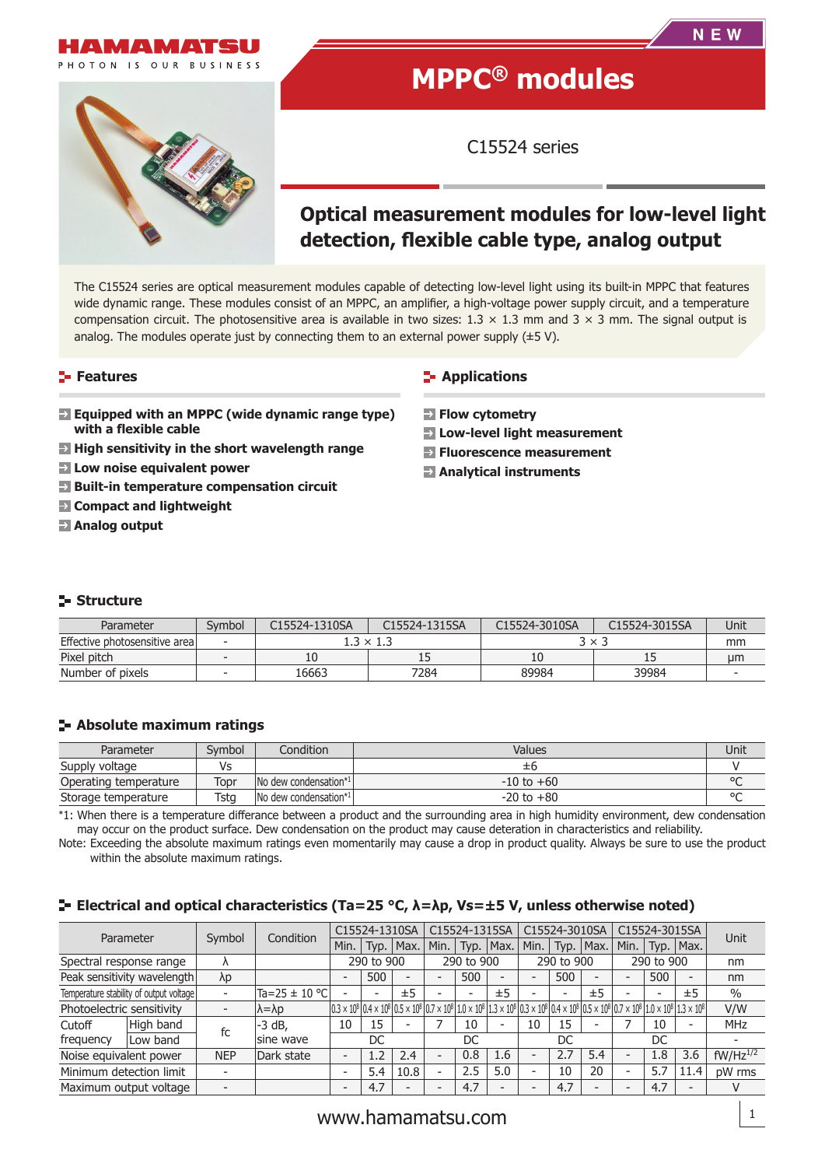

PHOTON IS OUR BUSINESS

# **MPPC® modules**

**NEW** 

C15524 series

## **Optical measurement modules for low-level light**  detection, flexible cable type, analog output

The C15524 series are optical measurement modules capable of detecting low-level light using its built-in MPPC that features wide dynamic range. These modules consist of an MPPC, an amplifier, a high-voltage power supply circuit, and a temperature compensation circuit. The photosensitive area is available in two sizes:  $1.3 \times 1.3$  mm and  $3 \times 3$  mm. The signal output is analog. The modules operate just by connecting them to an external power supply  $(\pm 5 \text{ V})$ .

## **Features**

- **Example 2** Equipped with an MPPC (wide dynamic range type) **with a flexible cable**
- **E** High sensitivity in the short wavelength range
- **Low noise equivalent power**
- **Built-in temperature compensation circuit**
- **Compact and lightweight**
- **Analog output**

## **E-** Applications

- **Flow cytometry**
- **Low-level light measurement**
- **Fluorescence measurement**
- **Analytical instruments**

## **Structure**

| Parameter                      | Svmbol | C15524-1310SA | C15524-1315SA    | C15524-3010SA | C15524-3015SA | Unit |
|--------------------------------|--------|---------------|------------------|---------------|---------------|------|
| Effective photosensitive areal |        |               | $1.3 \times 1.3$ | 3 × 3         | mm            |      |
| Pixel pitch                    |        | τn            | --               |               | --            | um   |
| Number of pixels               |        | 16663         | 7284             | 89984         | 39984         |      |

## **Absolute maximum ratings**

| Parameter             | Svmbol | Condition              | Values         | Unit    |
|-----------------------|--------|------------------------|----------------|---------|
| Supply voltage        | Vs     |                        | 士b             |         |
| Operating temperature | Topr   | INo dew condensation*1 | $-10$ to $+60$ | $\circ$ |
| Storage temperature   | Tsta   | INo dew condensation*1 | $-20$ to $+80$ | $\sim$  |

\*1: When there is a temperature differance between a product and the surrounding area in high humidity environment, dew condensation may occur on the product surface. Dew condensation on the product may cause deteration in characteristics and reliability.

Note: Exceeding the absolute maximum ratings even momentarily may cause a drop in product quality. Always be sure to use the product within the absolute maximum ratings.

#### **Electrical and optical characteristics (Ta=25 °C, λ=λp, Vs=±5 V, unless otherwise noted)**

| Parameter                 |                                         |            | Condition             | C15524-1310SA                                                                                                                                                                                                     |      | C15524-1315SA |                          | C15524-3010SA |      | C15524-3015SA            |      |      |                          |     |             |               |
|---------------------------|-----------------------------------------|------------|-----------------------|-------------------------------------------------------------------------------------------------------------------------------------------------------------------------------------------------------------------|------|---------------|--------------------------|---------------|------|--------------------------|------|------|--------------------------|-----|-------------|---------------|
|                           |                                         | Symbol     |                       | Min.                                                                                                                                                                                                              | Typ. | Max.          | Min.                     | Typ.          | Max. | Min.                     | Typ. | Max. | Min.                     |     | Typ.   Max. | Unit          |
| Spectral response range   |                                         |            |                       | 290 to 900                                                                                                                                                                                                        |      | 290 to 900    |                          | 290 to 900    |      | 290 to 900               |      | nm   |                          |     |             |               |
|                           | Peak sensitivity wavelength             | λp         |                       |                                                                                                                                                                                                                   | 500  |               | -                        | 500           |      |                          | 500  |      |                          | 500 |             | nm            |
|                           | Temperature stability of output voltage |            | Ta=25 $\pm$ 10 °C     |                                                                                                                                                                                                                   |      | ±5            |                          |               | ±5   |                          |      | ±5   |                          |     | ±5          | $\frac{0}{0}$ |
| Photoelectric sensitivity |                                         |            | $\lambda = \lambda p$ | $(0.3 \times 10^8)0.4 \times 10^8$ $(0.5 \times 10^8)0.7 \times 10^8$ $(1.0 \times 10^8)1.3 \times 10^8$ $(0.3 \times 10^8)0.4 \times 10^8$ $(0.5 \times 10^8)0.7 \times 10^8$ $(1.0 \times 10^8)1.3 \times 10^8$ |      |               |                          |               |      |                          |      |      |                          |     |             | V/W           |
| Cutoff                    | High band                               | fc         | $-3$ dB,              | 10                                                                                                                                                                                                                | 15   |               |                          | 10            |      | 10                       | 15   |      |                          | 10  |             | <b>MHz</b>    |
| frequency                 | Low band                                |            | sine wave             |                                                                                                                                                                                                                   | DC   |               |                          | DC            |      |                          | DC   |      |                          | DC  |             |               |
| Noise equivalent power    |                                         | <b>NEP</b> | Dark state            | $\overline{\phantom{0}}$                                                                                                                                                                                          | 1.2  | 2.4           | -                        | 0.8           | 1.6  | $\overline{\phantom{0}}$ | 2.7  | 5.4  | ۰                        | 1.8 | 3.6         | $fW/Hz^{1/2}$ |
| Minimum detection limit   |                                         |            |                       | $\overline{\phantom{0}}$                                                                                                                                                                                          | 5.4  | 10.8          | $\overline{\phantom{0}}$ | 2.5           | 5.0  | $\overline{\phantom{a}}$ | 10   | 20   | $\overline{\phantom{0}}$ | 5.7 | 11.4        | pW rms        |
|                           | Maximum output voltage                  |            |                       | $\overline{\phantom{0}}$                                                                                                                                                                                          | 4.7  |               |                          | 4.7           |      |                          | 4.7  |      |                          | 4.7 |             |               |

## www.hamamatsu.com  $\frac{1}{1}$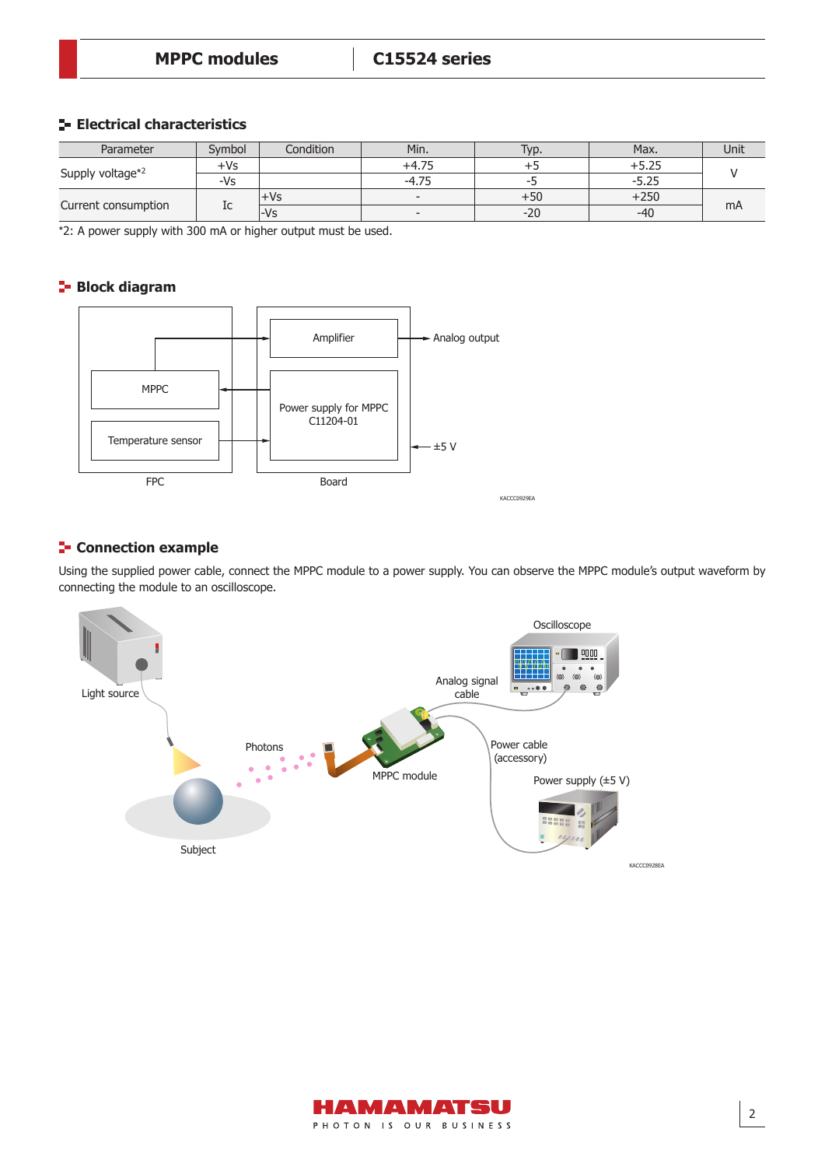## **Electrical characteristics**

| Parameter           | Svmbol | Condition | Min.    | Typ.  | Max.    | Unit |
|---------------------|--------|-----------|---------|-------|---------|------|
| Supply voltage*2    | +Vs    |           | +4.75   |       | $+5.25$ |      |
|                     | -Vs    |           | $-4.75$ | --    | $-5.25$ |      |
| Current consumption |        | +Vs       |         | $+50$ | $+250$  |      |
|                     | ΙC     | -Vs       |         | $-20$ | $-40$   | mA   |

\*2: A power supply with 300 mA or higher output must be used.

## **Block diagram**



## **E-** Connection example

Using the supplied power cable, connect the MPPC module to a power supply. You can observe the MPPC module's output waveform by connecting the module to an oscilloscope.



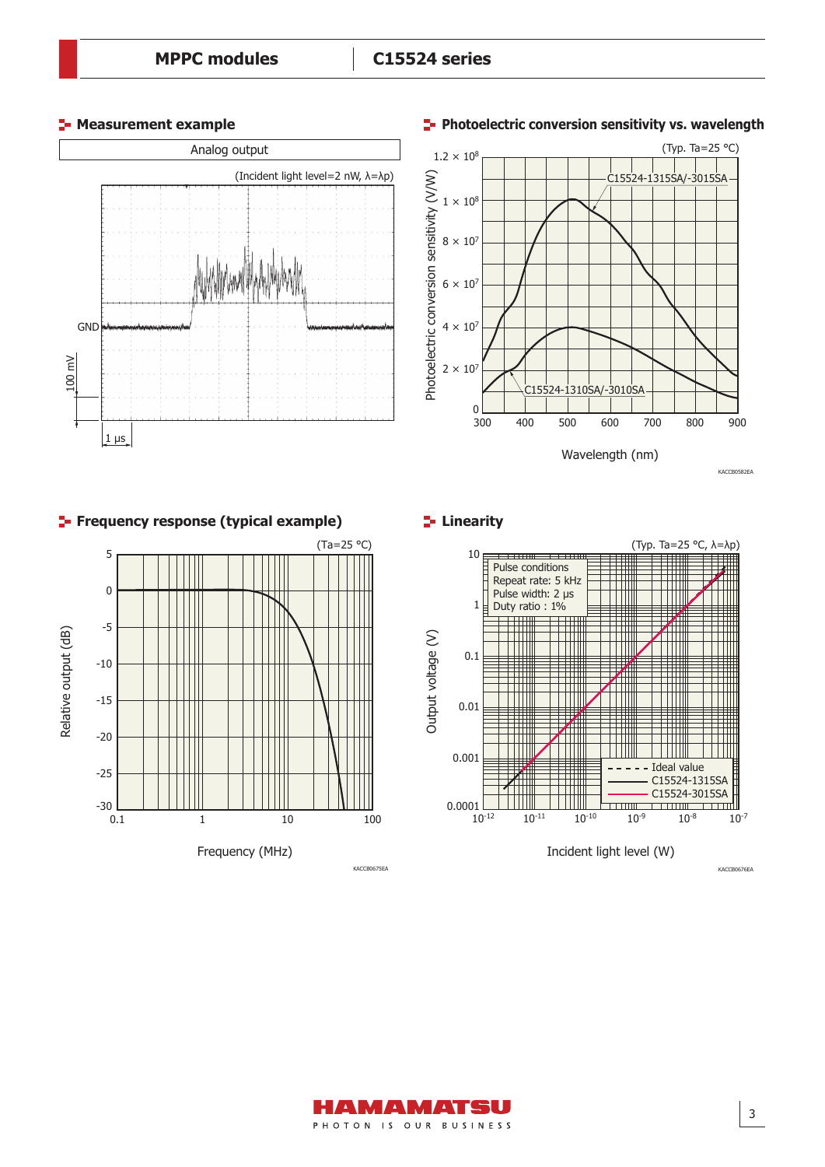





3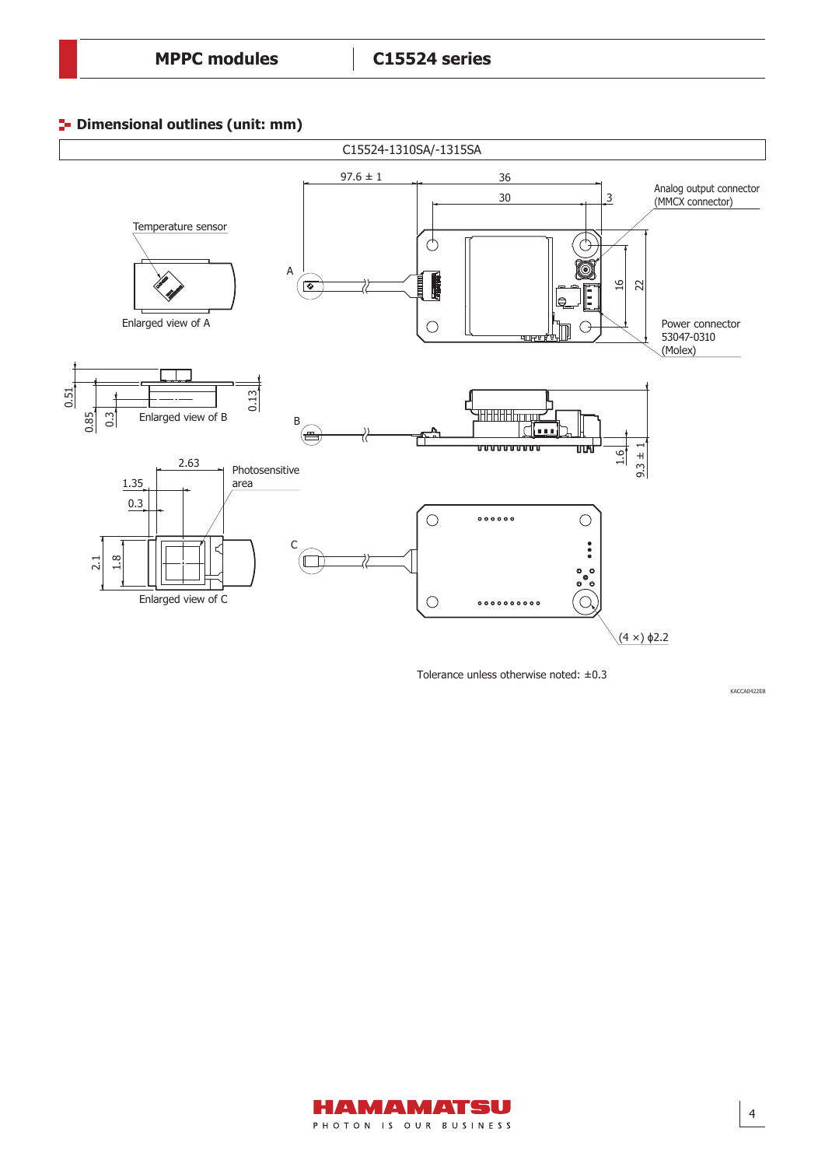## **Dimensional outlines (unit: mm)**



Tolerance unless otherwise noted: ±0.3

KACCA0422EB

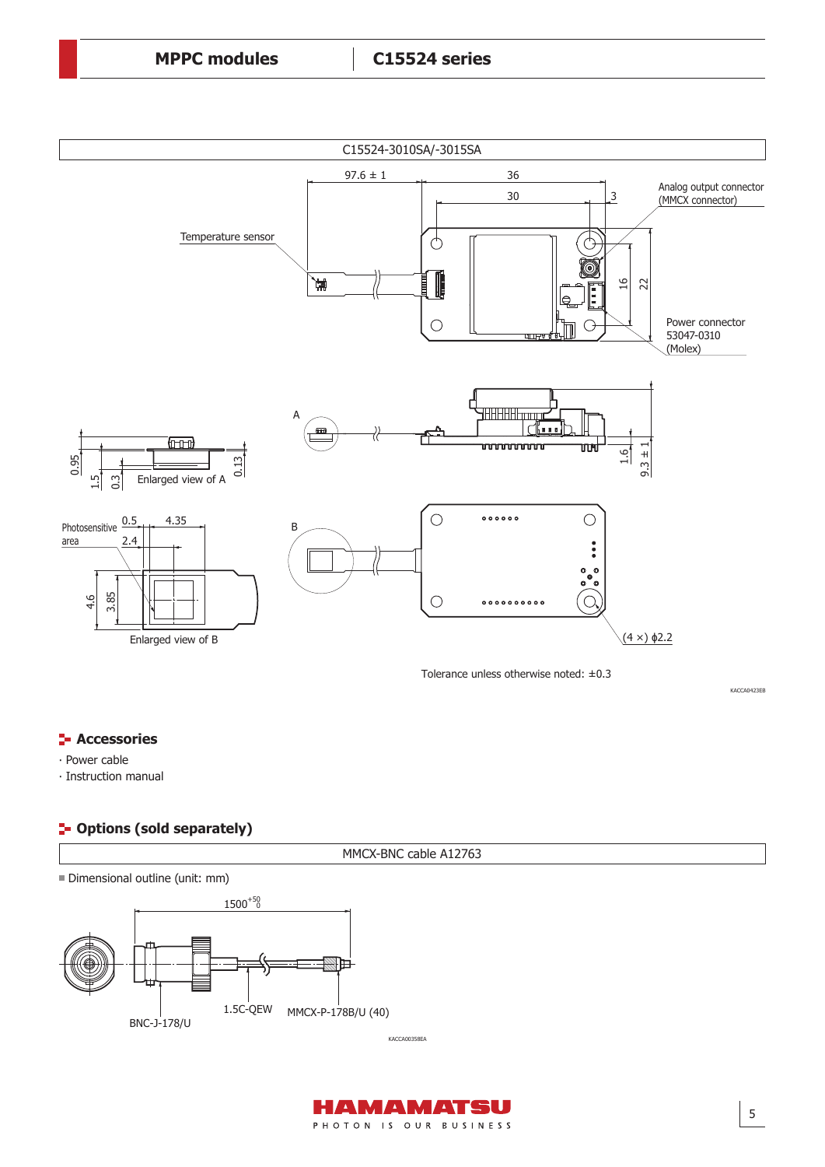

Tolerance unless otherwise noted: ±0.3

KACCA0423EB

## **E** Accessories

∙ Power cable

∙ Instruction manual

## **P** Options (sold separately)

MMCX-BNC cable A12763